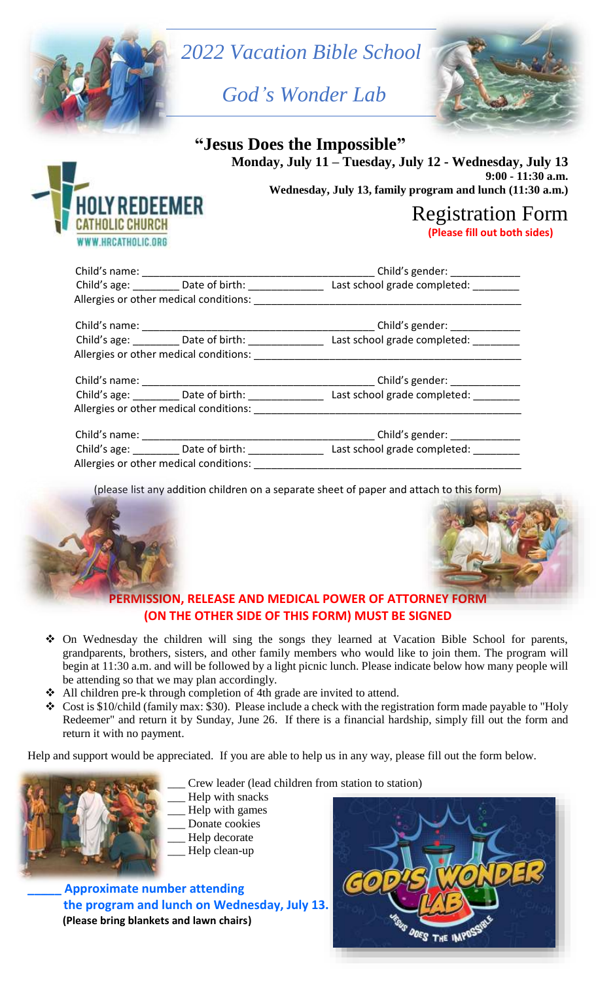



 **Monday, July 11 – Tuesday, July 12 - Wednesday, July 13 9:00 - 11:30 a.m. Wednesday, July 13, family program and lunch (11:30 a.m.)**

# Registration Form

 **(Please fill out both sides)**

|  |                                        | Child's gender: ____________                                                                              |  |  |  |
|--|----------------------------------------|-----------------------------------------------------------------------------------------------------------|--|--|--|
|  |                                        | Child's age: _________ Date of birth: _________________ Last school grade completed: _________            |  |  |  |
|  | Allergies or other medical conditions: |                                                                                                           |  |  |  |
|  |                                        |                                                                                                           |  |  |  |
|  |                                        | Child's age: _________ Date of birth: _________________ Last school grade completed: _________            |  |  |  |
|  |                                        |                                                                                                           |  |  |  |
|  |                                        | Child's gender: _____________                                                                             |  |  |  |
|  |                                        | Child's age: __________Date of birth: __________________________Last school grade completed: ____________ |  |  |  |
|  | Allergies or other medical conditions: |                                                                                                           |  |  |  |
|  |                                        | Child's gender: _____________                                                                             |  |  |  |
|  |                                        | Child's age: _________ Date of birth: _________________ Last school grade completed: _________            |  |  |  |
|  | Allergies or other medical conditions: |                                                                                                           |  |  |  |

(please list any addition children on a separate sheet of paper and attach to this form)





# **PERMISSION, RELEASE AND MEDICAL POWER OF ATTORNEY FORM (ON THE OTHER SIDE OF THIS FORM) MUST BE SIGNED**

- On Wednesday the children will sing the songs they learned at Vacation Bible School for parents, grandparents, brothers, sisters, and other family members who would like to join them. The program will begin at 11:30 a.m. and will be followed by a light picnic lunch. Please indicate below how many people will be attending so that we may plan accordingly.
- All children pre-k through completion of 4th grade are invited to attend.
- $\triangleleft$  Cost is \$10/child (family max: \$30). Please include a check with the registration form made payable to "Holy" Redeemer" and return it by Sunday, June 26. If there is a financial hardship, simply fill out the form and return it with no payment.

Help and support would be appreciated. If you are able to help us in any way, please fill out the form below.



- Crew leader (lead children from station to station)
- Help with snacks
- Help with games
- Donate cookies
- Help decorate
- \_\_\_ Help clean-up

**\_\_\_\_\_ Approximate number attending the program and lunch on Wednesday, July 13. (Please bring blankets and lawn chairs)**